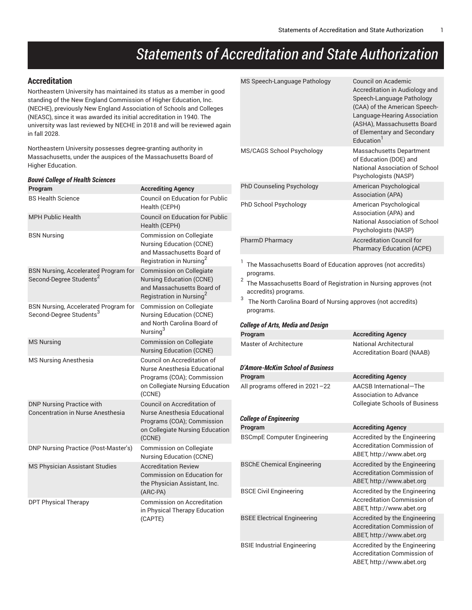# *Statements of Accreditation and State Authorization*

## **Accreditation**

Northeastern University has maintained its status as a member in good standing of the New England Commission of Higher Education, Inc. (NECHE), previously New England Association of Schools and Colleges (NEASC), since it was awarded its initial accreditation in 1940. The university was last reviewed by NECHE in 2018 and will be reviewed again in fall 2028.

Northeastern University possesses degree-granting authority in Massachusetts, under the auspices of the Massachusetts Board of Higher Education.

| <b>Bouvé College of Health Sciences</b>                                      |                                                                                                                                          |  |  |  |
|------------------------------------------------------------------------------|------------------------------------------------------------------------------------------------------------------------------------------|--|--|--|
| Program                                                                      | <b>Accrediting Agency</b>                                                                                                                |  |  |  |
| <b>BS Health Science</b>                                                     | <b>Council on Education for Public</b><br>Health (CEPH)                                                                                  |  |  |  |
| <b>MPH Public Health</b>                                                     | <b>Council on Education for Public</b><br>Health (CEPH)                                                                                  |  |  |  |
| <b>BSN Nursing</b>                                                           | Commission on Collegiate<br><b>Nursing Education (CCNE)</b><br>and Massachusetts Board of<br>Registration in Nursing <sup>2</sup>        |  |  |  |
| BSN Nursing, Accelerated Program for<br>Second-Degree Students <sup>2</sup>  | <b>Commission on Collegiate</b><br><b>Nursing Education (CCNE)</b><br>and Massachusetts Board of<br>Registration in Nursing <sup>2</sup> |  |  |  |
| BSN Nursing, Accelerated Program for<br>Second-Degree Students <sup>3</sup>  | Commission on Collegiate<br><b>Nursing Education (CCNE)</b><br>and North Carolina Board of<br>Nursing <sup>3</sup>                       |  |  |  |
| <b>MS Nursing</b>                                                            | <b>Commission on Collegiate</b><br><b>Nursing Education (CCNE)</b>                                                                       |  |  |  |
| <b>MS Nursing Anesthesia</b>                                                 | Council on Accreditation of<br>Nurse Anesthesia Educational<br>Programs (COA); Commission<br>on Collegiate Nursing Education<br>(CCNE)   |  |  |  |
| <b>DNP Nursing Practice with</b><br><b>Concentration in Nurse Anesthesia</b> | Council on Accreditation of<br>Nurse Anesthesia Educational<br>Programs (COA); Commission<br>on Collegiate Nursing Education<br>(CCNE)   |  |  |  |
| <b>DNP Nursing Practice (Post-Master's)</b>                                  | Commission on Collegiate<br><b>Nursing Education (CCNE)</b>                                                                              |  |  |  |
| <b>MS Physician Assistant Studies</b>                                        | <b>Accreditation Review</b><br>Commission on Education for<br>the Physician Assistant, Inc.<br>(ARC-PA)                                  |  |  |  |
| <b>DPT Physical Therapy</b>                                                  | Commission on Accreditation<br>in Physical Therapy Education<br>(CAPTE)                                                                  |  |  |  |

| MS Speech-Language Pathology                                               | Council on Academic<br>Accreditation in Audiology and<br>Speech-Language Pathology<br>(CAA) of the American Speech-<br>Language-Hearing Association<br>(ASHA), Massachusetts Board<br>of Elementary and Secondary<br>Fducation <sup>1</sup> |  |
|----------------------------------------------------------------------------|---------------------------------------------------------------------------------------------------------------------------------------------------------------------------------------------------------------------------------------------|--|
| MS/CAGS School Psychology                                                  | Massachusetts Department<br>of Education (DOE) and<br>National Association of School<br>Psychologists (NASP)                                                                                                                                |  |
| PhD Counseling Psychology                                                  | American Psychological<br>Association (APA)                                                                                                                                                                                                 |  |
| PhD School Psychology                                                      | American Psychological<br>Association (APA) and<br>National Association of School<br>Psychologists (NASP)                                                                                                                                   |  |
| PharmD Pharmacy                                                            | <b>Accreditation Council for</b><br><b>Pharmacy Education (ACPE)</b>                                                                                                                                                                        |  |
| The Massachusetts Board of Education approves (not accredits)<br>programs. |                                                                                                                                                                                                                                             |  |

 $^{\rm 2} \,$  The Massachusetts Board of Registration in Nursing approves (not accredits) programs.

 $^3$  The North Carolina Board of Nursing approves (not accredits) programs.

#### *College of Arts, Media and Design*

| Program                            | <b>Accrediting Agency</b>                                                                        |
|------------------------------------|--------------------------------------------------------------------------------------------------|
| Master of Architecture             | National Architectural<br><b>Accreditation Board (NAAB)</b>                                      |
| D'Amore-McKim School of Business   |                                                                                                  |
| Program                            | <b>Accrediting Agency</b>                                                                        |
| All programs offered in 2021-22    | AACSB International-The<br>Association to Advance<br><b>Collegiate Schools of Business</b>       |
| <b>College of Engineering</b>      |                                                                                                  |
| Program                            | <b>Accrediting Agency</b>                                                                        |
| <b>BSCmpE Computer Engineering</b> | Accredited by the Engineering<br>Accreditation Commission of<br>ABET, http://www.abet.org        |
| <b>BSChE Chemical Engineering</b>  | Accredited by the Engineering<br>Accreditation Commission of<br>ABET, http://www.abet.org        |
| <b>BSCE Civil Engineering</b>      | Accredited by the Engineering<br><b>Accreditation Commission of</b><br>ABET, http://www.abet.org |
| <b>BSEE Electrical Engineering</b> | Accredited by the Engineering<br>Accreditation Commission of<br>ABET, http://www.abet.org        |
| <b>BSIE Industrial Engineering</b> | Accredited by the Engineering<br>Accreditation Commission of<br>ABET, http://www.abet.org        |